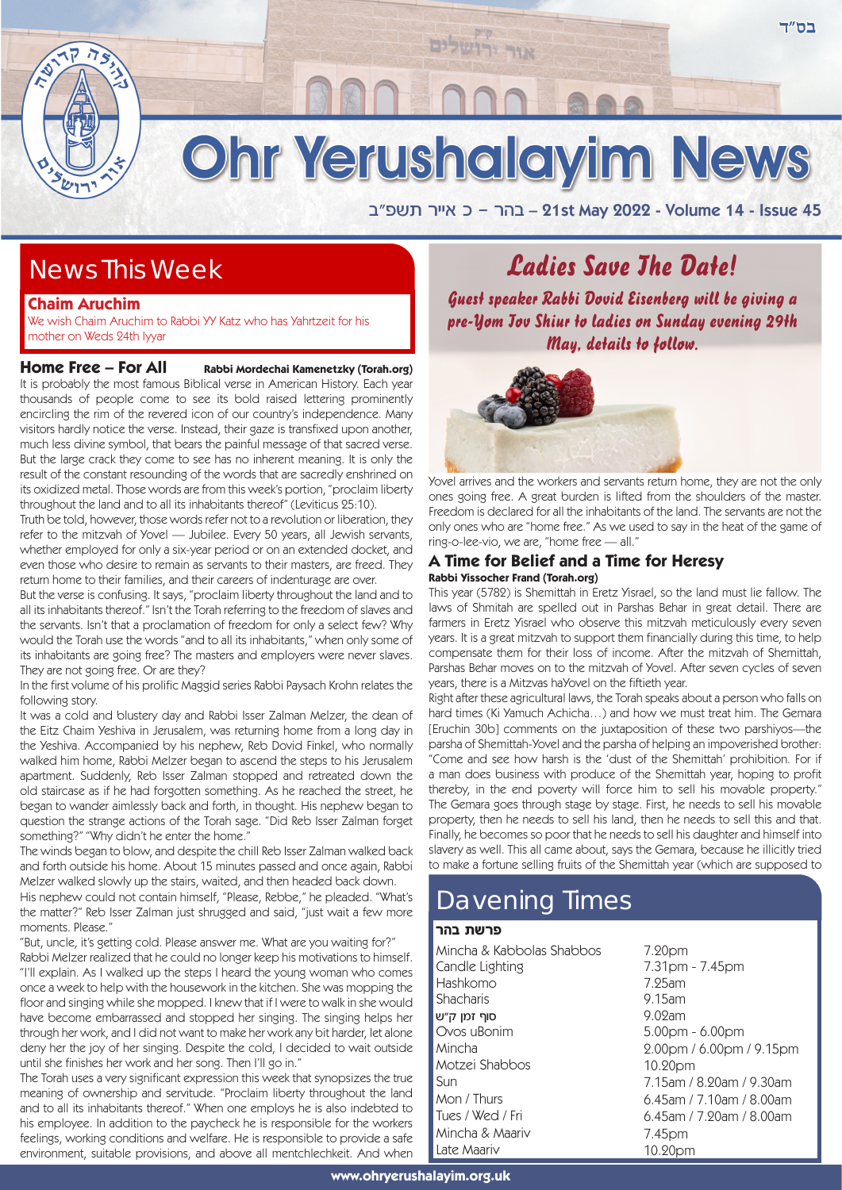

אור ירושלים

a"tyz xii` k - xda – 21st May 2022 - Volume 14 - Issue 45

## News This Week

### **Chaim Aruchim**

 $7s$ 

We wish Chaim Aruchim to Rabbi YY Katz who has Yahrtzeit for his mother on Weds 24th Iyyar

**Home Free – For All Rabbi Mordechai Kamenetzky (Torah.org)** It is probably the most famous Biblical verse in American History. Each year thousands of people come to see its bold raised lettering prominently encircling the rim of the revered icon of our country's independence. Many visitors hardly notice the verse. Instead, their gaze is transfixed upon another, much less divine symbol, that bears the painful message of that sacred verse. But the large crack they come to see has no inherent meaning. It is only the result of the constant resounding of the words that are sacredly enshrined on its oxidized metal. Those words are from this week's portion, "proclaim liberty throughout the land and to all its inhabitants thereof" (Leviticus 25:10).

Truth be told, however, those words refer not to a revolution or liberation, they refer to the mitzvah of Yovel — Jubilee. Every 50 years, all Jewish servants, whether employed for only a six-year period or on an extended docket, and even those who desire to remain as servants to their masters, are freed. They return home to their families, and their careers of indenturage are over.

But the verse is confusing. It says, "proclaim liberty throughout the land and to all its inhabitants thereof." Isn't the Torah referring to the freedom of slaves and the servants. Isn't that a proclamation of freedom for only a select few? Why would the Torah use the words "and to all its inhabitants," when only some of its inhabitants are going free? The masters and employers were never slaves. They are not going free. Or are they?

In the first volume of his prolific Maggid series Rabbi Paysach Krohn relates the following story.

It was a cold and blustery day and Rabbi Isser Zalman Melzer, the dean of the Eitz Chaim Yeshiva in Jerusalem, was returning home from a long day in the Yeshiva. Accompanied by his nephew, Reb Dovid Finkel, who normally walked him home, Rabbi Melzer began to ascend the steps to his Jerusalem apartment. Suddenly, Reb Isser Zalman stopped and retreated down the old staircase as if he had forgotten something. As he reached the street, he began to wander aimlessly back and forth, in thought. His nephew began to question the strange actions of the Torah sage. "Did Reb Isser Zalman forget something?" "Why didn't he enter the home."

The winds began to blow, and despite the chill Reb Isser Zalman walked back and forth outside his home. About 15 minutes passed and once again, Rabbi Melzer walked slowly up the stairs, waited, and then headed back down.

His nephew could not contain himself, "Please, Rebbe," he pleaded. "What's the matter?" Reb Isser Zalman just shrugged and said, "just wait a few more moments. Please."

"But, uncle, it's getting cold. Please answer me. What are you waiting for?" Rabbi Melzer realized that he could no longer keep his motivations to himself. "I'll explain. As I walked up the steps I heard the young woman who comes once a week to help with the housework in the kitchen. She was mopping the floor and singing while she mopped. I knew that if I were to walk in she would have become embarrassed and stopped her singing. The singing helps her through her work, and I did not want to make her work any bit harder, let alone deny her the joy of her singing. Despite the cold, I decided to wait outside until she finishes her work and her song. Then I'll go in."

The Torah uses a very significant expression this week that synopsizes the true meaning of ownership and servitude. "Proclaim liberty throughout the land and to all its inhabitants thereof." When one employs he is also indebted to his employee. In addition to the paycheck he is responsible for the workers feelings, working conditions and welfare. He is responsible to provide a safe environment, suitable provisions, and above all mentchlechkeit. And when

# **Ladies Save The Datel**

Guest speaker Rabbi Dovid Eisenberg will be giving a pre-Yom Jov Shiur to ladies on Sunday evening 29th May, details to follow.



Yovel arrives and the workers and servants return home, they are not the only ones going free. A great burden is lifted from the shoulders of the master. Freedom is declared for all the inhabitants of the land. The servants are not the only ones who are "home free." As we used to say in the heat of the game of ring-o-lee-vio, we are, "home free — all."

### **A Time for Belief and a Time for Heresy Rabbi Yissocher Frand (Torah.org)**

This year (5782) is Shemittah in Eretz Yisrael, so the land must lie fallow. The laws of Shmitah are spelled out in Parshas Behar in great detail. There are farmers in Eretz Yisrael who observe this mitzvah meticulously every seven years. It is a great mitzvah to support them financially during this time, to help compensate them for their loss of income. After the mitzvah of Shemittah, Parshas Behar moves on to the mitzvah of Yovel. After seven cycles of seven years, there is a Mitzvas haYovel on the fiftieth year.

Right after these agricultural laws, the Torah speaks about a person who falls on hard times (Ki Yamuch Achicha…) and how we must treat him. The Gemara [Eruchin 30b] comments on the juxtaposition of these two parshiyos—the parsha of Shemittah-Yovel and the parsha of helping an impoverished brother: "Come and see how harsh is the 'dust of the Shemittah' prohibition. For if a man does business with produce of the Shemittah year, hoping to profit thereby, in the end poverty will force him to sell his movable property." The Gemara goes through stage by stage. First, he needs to sell his movable property, then he needs to sell his land, then he needs to sell this and that. Finally, he becomes so poor that he needs to sell his daughter and himself into slavery as well. This all came about, says the Gemara, because he illicitly tried to make a fortune selling fruits of the Shemittah year (which are supposed to

### Davening Times

### פרשת רהר

| Mincha & Kabbolas Shabbos | 7.20pm                      |
|---------------------------|-----------------------------|
| Candle Lighting           | 7.31pm - 7.45pm             |
| Hashkomo                  | $7.25$ am                   |
| <b>Shacharis</b>          | $9.15$ am                   |
| סוף זמן ק״ש               | $9.02$ am                   |
| Ovos uBonim               | $5.00$ pm - 6.00pm          |
| Mincha                    | 2.00pm / 6.00pm / 9.15pm    |
| Motzei Shabbos            | 10.20pm                     |
| Sun                       | 7.15am / 8.20am / 9.30am    |
| Mon / Thurs               | $6.45$ am / 7.10am / 8.00am |
| Tues / Wed / Fri          | $6.45$ am / 7.20am / 8.00am |
| Mincha & Maariv           | 7.45pm                      |
| Late Maariv               | 10.20pm                     |